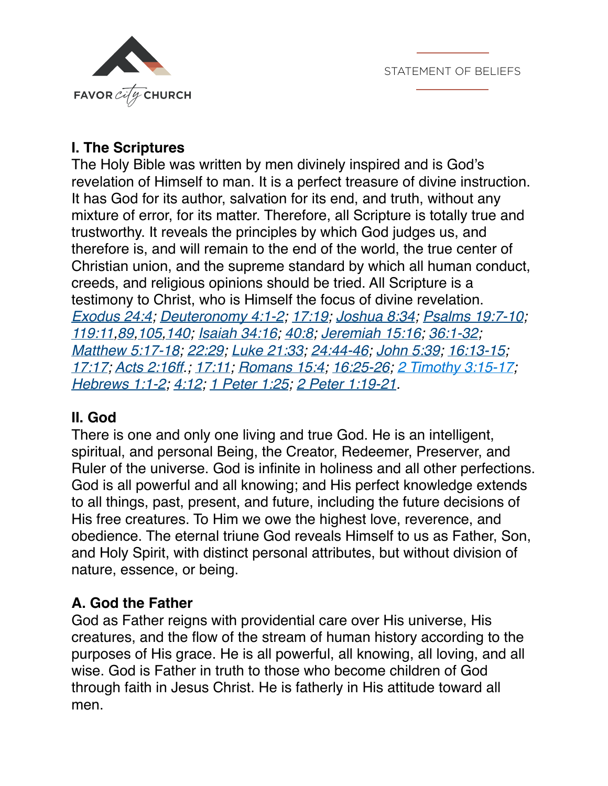STATEMENT OF BELIEFS



#### **I. The Scriptures**

The Holy Bible was written by men divinely inspired and is God's revelation of Himself to man. It is a perfect treasure of divine instruction. It has God for its author, salvation for its end, and truth, without any mixture of error, for its matter. Therefore, all Scripture is totally true and trustworthy. It reveals the principles by which God judges us, and therefore is, and will remain to the end of the world, the true center of Christian union, and the supreme standard by which all human conduct, creeds, and religious opinions should be tried. All Scripture is a testimony to Christ, who is Himself the focus of divine revelation. *[Exodus 24:4;](https://biblia.com/bible/csb/Exod%2024.4) [Deuteronomy 4:1-2;](https://biblia.com/bible/csb/Deut%204.1-2) [17:19](https://biblia.com/bible/csb/Deuteronomy%2017.19); [Joshua 8:34;](https://biblia.com/bible/csb/Josh%208.34) [Psalms 19:7-10](https://biblia.com/bible/csb/Ps%2019.7-10); [119:11](https://biblia.com/bible/csb/Psalms%20119.11)[,89,](https://biblia.com/bible/csb/Psalms%20119.89)[105](https://biblia.com/bible/csb/Psalms%20119.105)[,140](https://biblia.com/bible/csb/Psalms%20119.140); [Isaiah 34:16;](https://biblia.com/bible/csb/Isa%2034.16) [40:8](https://biblia.com/bible/csb/Isaiah%2040.8); [Jeremiah 15:16;](https://biblia.com/bible/csb/Jer%2015.16) [36:1-32](https://biblia.com/bible/csb/Jeremiah%2036.1-32); [Matthew 5:17-18](https://biblia.com/bible/csb/Matt%205.17-18); [22:29](https://biblia.com/bible/csb/Matthew%2022.29); [Luke 21:33](https://biblia.com/bible/csb/Luke%2021.33); [24:44-46;](https://biblia.com/bible/csb/Luke%2024.44-46) [John 5:39;](https://biblia.com/bible/csb/John%205.39) [16:13-15;](https://biblia.com/bible/csb/John%2016.13-15) [17:17](https://biblia.com/bible/csb/John%2017.17); [Acts 2:16ff](https://biblia.com/bible/csb/Acts%202.16ff).; [17:11;](https://biblia.com/bible/csb/Acts%2017.11) [Romans 15:4;](https://biblia.com/bible/csb/Rom%2015.4) [16:25-26](https://biblia.com/bible/csb/Romans%2016.25-26); [2 Timothy 3:15-17;](https://biblia.com/bible/csb/2%20Tim%203.15-17) [Hebrews 1:1-2;](https://biblia.com/bible/csb/Heb%201.1-2) [4:12](https://biblia.com/bible/csb/Hebrews%204.12); [1 Peter 1:25;](https://biblia.com/bible/csb/1%20Pet%201.25) [2 Peter 1:19-21](https://biblia.com/bible/csb/2%20Pet%201.19-21).*

## **II. God**

There is one and only one living and true God. He is an intelligent, spiritual, and personal Being, the Creator, Redeemer, Preserver, and Ruler of the universe. God is infinite in holiness and all other perfections. God is all powerful and all knowing; and His perfect knowledge extends to all things, past, present, and future, including the future decisions of His free creatures. To Him we owe the highest love, reverence, and obedience. The eternal triune God reveals Himself to us as Father, Son, and Holy Spirit, with distinct personal attributes, but without division of nature, essence, or being.

# **A. God the Father**

God as Father reigns with providential care over His universe, His creatures, and the flow of the stream of human history according to the purposes of His grace. He is all powerful, all knowing, all loving, and all wise. God is Father in truth to those who become children of God through faith in Jesus Christ. He is fatherly in His attitude toward all men.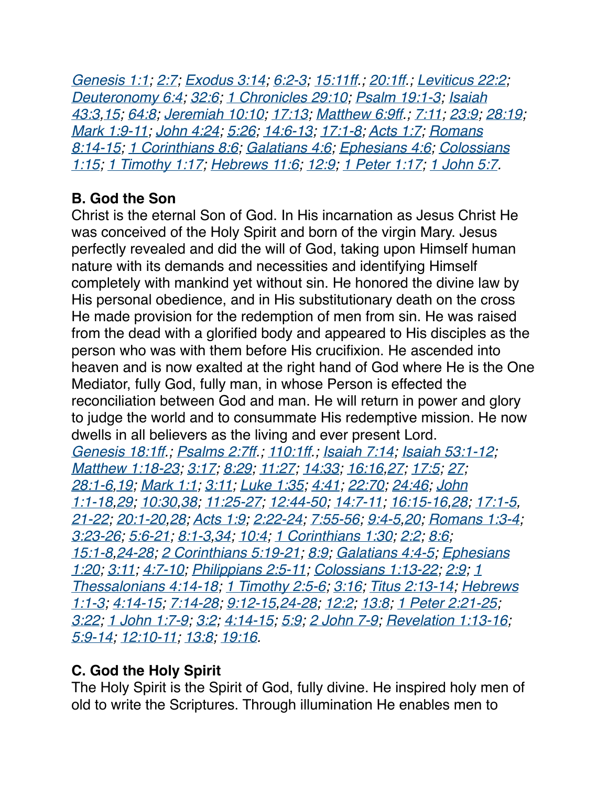*[Genesis 1:1;](https://biblia.com/bible/csb/Gen%201.1) [2:7](https://biblia.com/bible/csb/Genesis%202.7); [Exodus 3:14](https://biblia.com/bible/csb/Exod%203.14); [6:2-3](https://biblia.com/bible/csb/Exodus%206.2-3); [15:11ff.](https://biblia.com/bible/csb/Exodus%2015.11ff); [20:1ff](https://biblia.com/bible/csb/Exodus%2020.1ff).; [Leviticus 22:2](https://biblia.com/bible/csb/Lev%2022.2); [Deuteronomy 6:4;](https://biblia.com/bible/csb/Deut%206.4) [32:6](https://biblia.com/bible/csb/Deuteronomy%2032.6); [1 Chronicles 29:10;](https://biblia.com/bible/csb/1%20Chron%2029.10) [Psalm 19:1-3;](https://biblia.com/bible/csb/Ps%2019.1-3) [Isaiah](https://biblia.com/bible/csb/Isa%2043.3)  [43:3](https://biblia.com/bible/csb/Isa%2043.3)[,15;](https://biblia.com/bible/csb/Isaiah%2043.15) [64:8](https://biblia.com/bible/csb/Isaiah%2064.8); [Jeremiah 10:10;](https://biblia.com/bible/csb/Jer%2010.10) [17:13](https://biblia.com/bible/csb/Jeremiah%2017.13); [Matthew 6:9ff](https://biblia.com/bible/csb/Matt%206.9ff).; [7:11;](https://biblia.com/bible/csb/Matthew%207.11) [23:9](https://biblia.com/bible/csb/Matthew%2023.9); [28:19;](https://biblia.com/bible/csb/Matthew%2028.19) [Mark 1:9-11;](https://biblia.com/bible/csb/Mark%201.9-11) [John 4:24;](https://biblia.com/bible/csb/John%204.24) [5:26](https://biblia.com/bible/csb/John%205.26); [14:6-13;](https://biblia.com/bible/csb/John%2014.6-13) [17:1-8](https://biblia.com/bible/csb/John%2017.1-8); [Acts 1:7](https://biblia.com/bible/csb/Acts%201.7); [Romans](https://biblia.com/bible/csb/Rom%208.14-15)  [8:14-15](https://biblia.com/bible/csb/Rom%208.14-15); [1 Corinthians 8:6;](https://biblia.com/bible/csb/1%20Cor%208.6) [Galatians 4:6;](https://biblia.com/bible/csb/Gal%204.6) [Ephesians 4:6](https://biblia.com/bible/csb/Eph%204.6); [Colossians](https://biblia.com/bible/csb/Col%201.15)  [1:15](https://biblia.com/bible/csb/Col%201.15); [1 Timothy 1:17](https://biblia.com/bible/csb/1%20Tim%201.17); [Hebrews 11:6;](https://biblia.com/bible/csb/Heb%2011.6) [12:9](https://biblia.com/bible/csb/Hebrews%2012.9); [1 Peter 1:17;](https://biblia.com/bible/csb/1%20Pet%201.17) [1 John 5:7.](https://biblia.com/bible/csb/1%20John%205.7)*

## **B. God the Son**

Christ is the eternal Son of God. In His incarnation as Jesus Christ He was conceived of the Holy Spirit and born of the virgin Mary. Jesus perfectly revealed and did the will of God, taking upon Himself human nature with its demands and necessities and identifying Himself completely with mankind yet without sin. He honored the divine law by His personal obedience, and in His substitutionary death on the cross He made provision for the redemption of men from sin. He was raised from the dead with a glorified body and appeared to His disciples as the person who was with them before His crucifixion. He ascended into heaven and is now exalted at the right hand of God where He is the One Mediator, fully God, fully man, in whose Person is effected the reconciliation between God and man. He will return in power and glory to judge the world and to consummate His redemptive mission. He now dwells in all believers as the living and ever present Lord. *[Genesis 18:1ff.](https://biblia.com/bible/csb/Gen%2018.1ff); [Psalms 2:7ff.](https://biblia.com/bible/csb/Ps%202.7ff); [110:1ff](https://biblia.com/bible/csb/Psalms%20110.1ff).; [Isaiah 7:14](https://biblia.com/bible/csb/Isa%207.14); [Isaiah 53:1-12;](https://biblia.com/bible/csb/Isa%2053.1-12) [Matthew 1:18-23](https://biblia.com/bible/csb/Matt%201.18-23); [3:17;](https://biblia.com/bible/csb/Matthew%203.17) [8:29](https://biblia.com/bible/csb/Matthew%208.29); [11:27;](https://biblia.com/bible/csb/Matthew%2011.27) [14:33](https://biblia.com/bible/csb/Matthew%2014.33); [16:16](https://biblia.com/bible/csb/Matthew%2016.16)[,27](https://biblia.com/bible/csb/Matthew%2016.27); [17:5;](https://biblia.com/bible/csb/Matthew%2017.5) [27;](https://biblia.com/bible/csb/Matthew%2017.27) [28:1-6](https://biblia.com/bible/csb/Matthew%2028.1-6)[,19;](https://biblia.com/bible/csb/Matthew%2028.19) [Mark 1:1](https://biblia.com/bible/csb/Mark%201.1); [3:11;](https://biblia.com/bible/csb/Mark%203.11) [Luke 1:35;](https://biblia.com/bible/csb/Luke%201.35) [4:41](https://biblia.com/bible/csb/Luke%204.41); [22:70;](https://biblia.com/bible/csb/Luke%2022.70) [24:46](https://biblia.com/bible/csb/Luke%2024.46); [John](https://biblia.com/bible/csb/John%201.1-18)  [1:1-18](https://biblia.com/bible/csb/John%201.1-18)[,29;](https://biblia.com/bible/csb/John%201.29) [10:30](https://biblia.com/bible/csb/John%2010.30)[,38](https://biblia.com/bible/csb/John%2010.38); [11:25-27;](https://biblia.com/bible/csb/John%2011.25-27) [12:44-50](https://biblia.com/bible/csb/John%2012.44-50); [14:7-11;](https://biblia.com/bible/csb/John%2014.7-11) [16:15-16,](https://biblia.com/bible/csb/John%2016.15-16)[28;](https://biblia.com/bible/csb/John%2016.28) [17:1-5](https://biblia.com/bible/csb/John%2017.1-5), [21-22](https://biblia.com/bible/csb/John%2017.21-22); [20:1-20,](https://biblia.com/bible/csb/John%2020.1-20)[28](https://biblia.com/bible/csb/John%2020.28); [Acts 1:9;](https://biblia.com/bible/csb/Acts%201.9) [2:22-24](https://biblia.com/bible/csb/Acts%202.22-24); [7:55-56;](https://biblia.com/bible/csb/Acts%207.55-56) [9:4-5](https://biblia.com/bible/csb/Acts%209.4-5)[,20;](https://biblia.com/bible/csb/Acts%209.20) [Romans 1:3-4](https://biblia.com/bible/csb/Rom%201.3-4); [3:23-26](https://biblia.com/bible/csb/Romans%203.23-26); [5:6-21;](https://biblia.com/bible/csb/Romans%205.6-21) [8:1-3](https://biblia.com/bible/csb/Romans%208.1-3)[,34](https://biblia.com/bible/csb/Romans%208.34); [10:4;](https://biblia.com/bible/csb/Romans%2010.4) [1 Corinthians 1:30](https://biblia.com/bible/csb/1%20Cor%201.30); [2:2;](https://biblia.com/bible/csb/1%20Corinthians%202.2) [8:6;](https://biblia.com/bible/csb/1%20Corinthians%208.6) [15:1-8](https://biblia.com/bible/csb/1%20Corinthians%2015.1-8)[,24-28;](https://biblia.com/bible/csb/1%20Corinthians%2015.24-28) [2 Corinthians 5:19-21](https://biblia.com/bible/csb/2%20Cor%205.19-21); [8:9](https://biblia.com/bible/csb/2%20Corinthians%208.9); [Galatians 4:4-5](https://biblia.com/bible/csb/Gal%204.4-5); [Ephesians](https://biblia.com/bible/csb/Eph%201.20)  [1:20](https://biblia.com/bible/csb/Eph%201.20); [3:11;](https://biblia.com/bible/csb/Ephesians%203.11) [4:7-10](https://biblia.com/bible/csb/Ephesians%204.7-10); [Philippians 2:5-11;](https://biblia.com/bible/csb/Phil%202.5-11) [Colossians 1:13-22;](https://biblia.com/bible/csb/Col%201.13-22) [2:9](https://biblia.com/bible/csb/Colossians%202.9); [1](https://biblia.com/bible/csb/1%20Thess%204.14-18)  [Thessalonians 4:14-18](https://biblia.com/bible/csb/1%20Thess%204.14-18); [1 Timothy 2:5-6;](https://biblia.com/bible/csb/1%20Tim%202.5-6) [3:16](https://biblia.com/bible/csb/1%20Timothy%203.16); [Titus 2:13-14;](https://biblia.com/bible/csb/Titus%202.13-14) [Hebrews](https://biblia.com/bible/csb/Heb%201.1-3)  [1:1-3](https://biblia.com/bible/csb/Heb%201.1-3); [4:14-15;](https://biblia.com/bible/csb/Hebrews%204.14-15) [7:14-28](https://biblia.com/bible/csb/Hebrews%207.14-28); [9:12-15,](https://biblia.com/bible/csb/Hebrews%209.12-15)[24-28](https://biblia.com/bible/csb/Hebrews%209.24-28); [12:2](https://biblia.com/bible/csb/Hebrews%2012.2); [13:8;](https://biblia.com/bible/csb/Hebrews%2013.8) [1 Peter 2:21-25](https://biblia.com/bible/csb/1%20Pet%202.21-25); [3:22](https://biblia.com/bible/csb/1%20Peter%203.22); [1 John 1:7-9](https://biblia.com/bible/csb/1%20John%201.7-9); [3:2;](https://biblia.com/bible/csb/1%20John%203.2) [4:14-15](https://biblia.com/bible/csb/1%20John%204.14-15); [5:9;](https://biblia.com/bible/csb/1%20John%205.9) [2 John 7-9;](https://biblia.com/bible/csb/2%20John%207-9) [Revelation 1:13-16;](https://biblia.com/bible/csb/Rev%201.13-16) [5:9-14](https://biblia.com/bible/csb/Revelation%205.9-14); [12:10-11;](https://biblia.com/bible/csb/Revelation%2012.10-11) [13:8](https://biblia.com/bible/csb/Revelation%2013.8); [19:16.](https://biblia.com/bible/csb/Revelation%2019.16)*

# **C. God the Holy Spirit**

The Holy Spirit is the Spirit of God, fully divine. He inspired holy men of old to write the Scriptures. Through illumination He enables men to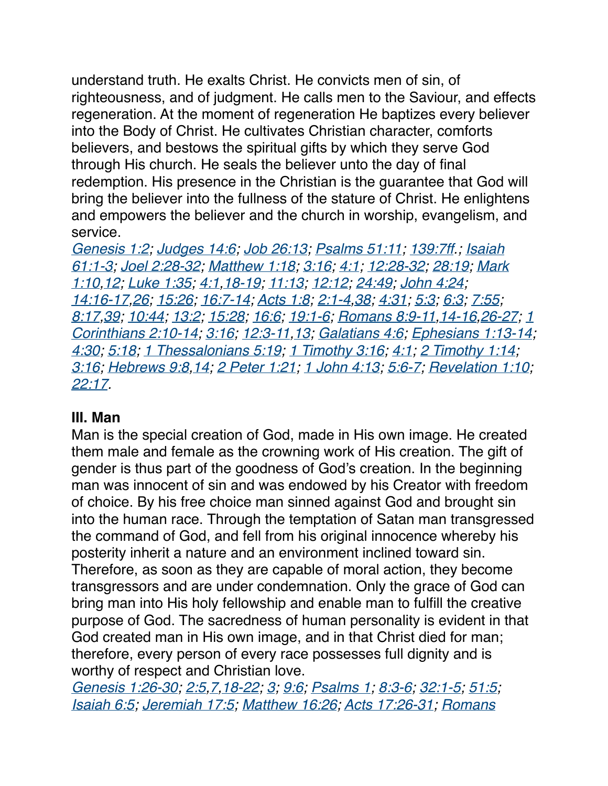understand truth. He exalts Christ. He convicts men of sin, of righteousness, and of judgment. He calls men to the Saviour, and effects regeneration. At the moment of regeneration He baptizes every believer into the Body of Christ. He cultivates Christian character, comforts believers, and bestows the spiritual gifts by which they serve God through His church. He seals the believer unto the day of final redemption. His presence in the Christian is the guarantee that God will bring the believer into the fullness of the stature of Christ. He enlightens and empowers the believer and the church in worship, evangelism, and service.

*[Genesis 1:2;](https://biblia.com/bible/csb/Gen%201.2) [Judges 14:6](https://biblia.com/bible/csb/Judg%2014.6); [Job 26:13](https://biblia.com/bible/csb/Job%2026.13); [Psalms 51:11;](https://biblia.com/bible/csb/Ps%2051.11) [139:7ff.](https://biblia.com/bible/csb/Psalms%20139.7ff); [Isaiah](https://biblia.com/bible/csb/Isa%2061.1-3)  [61:1-3](https://biblia.com/bible/csb/Isa%2061.1-3); [Joel 2:28-32;](https://biblia.com/bible/csb/Joel%202.28-32) [Matthew 1:18](https://biblia.com/bible/csb/Matt%201.18); [3:16;](https://biblia.com/bible/csb/Matthew%203.16) [4:1;](https://biblia.com/bible/csb/Matthew%204.1) [12:28-32;](https://biblia.com/bible/csb/Matthew%2012.28-32) [28:19](https://biblia.com/bible/csb/Matthew%2028.19); [Mark](https://biblia.com/bible/csb/Mark%201.10)  [1:10](https://biblia.com/bible/csb/Mark%201.10)[,12;](https://biblia.com/bible/csb/Mark%201.12) [Luke 1:35;](https://biblia.com/bible/csb/Luke%201.35) [4:1](https://biblia.com/bible/csb/Luke%204.1)[,18-19](https://biblia.com/bible/csb/Luke%204.18-19); [11:13;](https://biblia.com/bible/csb/Luke%2011.13) [12:12](https://biblia.com/bible/csb/Luke%2012.12); [24:49;](https://biblia.com/bible/csb/Luke%2024.49) [John 4:24](https://biblia.com/bible/csb/John%204.24); [14:16-17,](https://biblia.com/bible/csb/John%2014.16-17)[26;](https://biblia.com/bible/csb/John%2014.26) [15:26](https://biblia.com/bible/csb/John%2015.26); [16:7-14;](https://biblia.com/bible/csb/John%2016.7-14) [Acts 1:8;](https://biblia.com/bible/csb/Acts%201.8) [2:1-4](https://biblia.com/bible/csb/Acts%202.1-4)[,38](https://biblia.com/bible/csb/Acts%202.38); [4:31;](https://biblia.com/bible/csb/Acts%204.31) [5:3](https://biblia.com/bible/csb/Acts%205.3); [6:3](https://biblia.com/bible/csb/Acts%206.3); [7:55;](https://biblia.com/bible/csb/Acts%207.55) [8:17](https://biblia.com/bible/csb/Acts%208.17)[,39;](https://biblia.com/bible/csb/Acts%208.39) [10:44](https://biblia.com/bible/csb/Acts%2010.44); [13:2;](https://biblia.com/bible/csb/Acts%2013.2) [15:28](https://biblia.com/bible/csb/Acts%2015.28); [16:6;](https://biblia.com/bible/csb/Acts%2016.6) [19:1-6](https://biblia.com/bible/csb/Acts%2019.1-6); [Romans 8:9-11,](https://biblia.com/bible/csb/Rom%208.9-11)[14-16,](https://biblia.com/bible/csb/Romans%208.14-16)[26-27](https://biblia.com/bible/csb/Romans%208.26-27); [1](https://biblia.com/bible/csb/1%20Cor%202.10-14)  [Corinthians 2:10-14](https://biblia.com/bible/csb/1%20Cor%202.10-14); [3:16;](https://biblia.com/bible/csb/1%20Corinthians%203.16) [12:3-11](https://biblia.com/bible/csb/1%20Corinthians%2012.3-11)[,13](https://biblia.com/bible/csb/1%20Corinthians%2012.13); [Galatians 4:6](https://biblia.com/bible/csb/Gal%204.6); [Ephesians 1:13-14;](https://biblia.com/bible/csb/Eph%201.13-14) [4:30](https://biblia.com/bible/csb/Ephesians%204.30); [5:18;](https://biblia.com/bible/csb/Ephesians%205.18) [1 Thessalonians 5:19](https://biblia.com/bible/csb/1%20Thess%205.19); [1 Timothy 3:16;](https://biblia.com/bible/csb/1%20Tim%203.16) [4:1](https://biblia.com/bible/csb/1%20Timothy%204.1); [2 Timothy 1:14;](https://biblia.com/bible/csb/2%20Tim%201.14) [3:16](https://biblia.com/bible/csb/2%20Timothy%203.16); [Hebrews 9:8](https://biblia.com/bible/csb/Heb%209.8)[,14](https://biblia.com/bible/csb/Hebrews%209.14); [2 Peter 1:21;](https://biblia.com/bible/csb/2%20Pet%201.21) [1 John 4:13](https://biblia.com/bible/csb/1%20John%204.13); [5:6-7](https://biblia.com/bible/csb/1%20John%205.6-7); [Revelation 1:10;](https://biblia.com/bible/csb/Rev%201.10) [22:17](https://biblia.com/bible/csb/Revelation%2022.17).*

#### **III. Man**

Man is the special creation of God, made in His own image. He created them male and female as the crowning work of His creation. The gift of gender is thus part of the goodness of God's creation. In the beginning man was innocent of sin and was endowed by his Creator with freedom of choice. By his free choice man sinned against God and brought sin into the human race. Through the temptation of Satan man transgressed the command of God, and fell from his original innocence whereby his posterity inherit a nature and an environment inclined toward sin. Therefore, as soon as they are capable of moral action, they become transgressors and are under condemnation. Only the grace of God can bring man into His holy fellowship and enable man to fulfill the creative purpose of God. The sacredness of human personality is evident in that God created man in His own image, and in that Christ died for man; therefore, every person of every race possesses full dignity and is worthy of respect and Christian love.

*[Genesis 1:26-30;](https://biblia.com/bible/csb/Gen%201.26-30) [2:5](https://biblia.com/bible/csb/Genesis%202.5)[,7](https://biblia.com/bible/csb/Genesis%202.7)[,18-22;](https://biblia.com/bible/csb/Genesis%202.18-22) [3;](https://biblia.com/bible/csb/Genesis%202.3) [9:6](https://biblia.com/bible/csb/Genesis%209.6); [Psalms 1](https://biblia.com/bible/csb/Ps%201); [8:3-6;](https://biblia.com/bible/csb/Psalms%208.3-6) [32:1-5;](https://biblia.com/bible/csb/Psalms%2032.1-5) [51:5](https://biblia.com/bible/csb/Psalms%2051.5); [Isaiah 6:5](https://biblia.com/bible/csb/Isa%206.5); [Jeremiah 17:5;](https://biblia.com/bible/csb/Jer%2017.5) [Matthew 16:26](https://biblia.com/bible/csb/Matt%2016.26); [Acts 17:26-31](https://biblia.com/bible/csb/Acts%2017.26-31); [Romans](https://biblia.com/bible/csb/Rom%201.19-32)*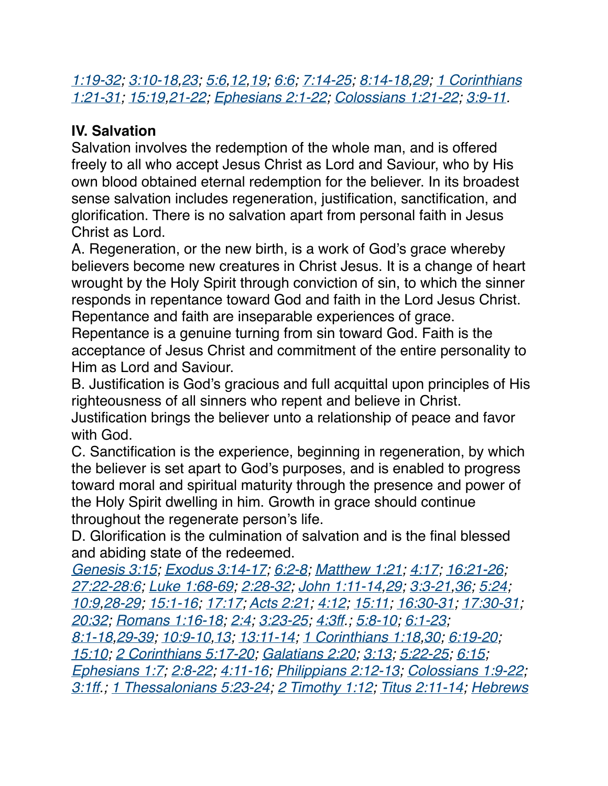*[1:19-32](https://biblia.com/bible/csb/Rom%201.19-32); [3:10-18,](https://biblia.com/bible/csb/Romans%203.10-18)[23](https://biblia.com/bible/csb/Romans%203.23); [5:6,](https://biblia.com/bible/csb/Romans%205.6)[12,](https://biblia.com/bible/csb/Romans%205.12)[19](https://biblia.com/bible/csb/Romans%205.19); [6:6](https://biblia.com/bible/csb/Romans%206.6); [7:14-25;](https://biblia.com/bible/csb/Romans%207.14-25) [8:14-18](https://biblia.com/bible/csb/Romans%208.14-18)[,29;](https://biblia.com/bible/csb/Romans%208.29) [1 Corinthians](https://biblia.com/bible/csb/1%20Cor%201.21-31)  [1:21-31](https://biblia.com/bible/csb/1%20Cor%201.21-31); [15:19,](https://biblia.com/bible/csb/1%20Corinthians%2015.19)[21-22](https://biblia.com/bible/csb/1%20Corinthians%2015.21-22); [Ephesians 2:1-22;](https://biblia.com/bible/csb/Eph%202.1-22) [Colossians 1:21-22;](https://biblia.com/bible/csb/Col%201.21-22) [3:9-11.](https://biblia.com/bible/csb/Colossians%203.9-11)*

#### **IV. Salvation**

Salvation involves the redemption of the whole man, and is offered freely to all who accept Jesus Christ as Lord and Saviour, who by His own blood obtained eternal redemption for the believer. In its broadest sense salvation includes regeneration, justification, sanctification, and glorification. There is no salvation apart from personal faith in Jesus Christ as Lord.

A. Regeneration, or the new birth, is a work of God's grace whereby believers become new creatures in Christ Jesus. It is a change of heart wrought by the Holy Spirit through conviction of sin, to which the sinner responds in repentance toward God and faith in the Lord Jesus Christ. Repentance and faith are inseparable experiences of grace.

Repentance is a genuine turning from sin toward God. Faith is the acceptance of Jesus Christ and commitment of the entire personality to Him as Lord and Saviour.

B. Justification is God's gracious and full acquittal upon principles of His righteousness of all sinners who repent and believe in Christ.

Justification brings the believer unto a relationship of peace and favor with God.

C. Sanctification is the experience, beginning in regeneration, by which the believer is set apart to God's purposes, and is enabled to progress toward moral and spiritual maturity through the presence and power of the Holy Spirit dwelling in him. Growth in grace should continue throughout the regenerate person's life.

D. Glorification is the culmination of salvation and is the final blessed and abiding state of the redeemed.

*[Genesis 3:15;](https://biblia.com/bible/csb/Gen%203.15) [Exodus 3:14-17;](https://biblia.com/bible/csb/Exod%203.14-17) [6:2-8](https://biblia.com/bible/csb/Exodus%206.2-8); [Matthew 1:21;](https://biblia.com/bible/csb/Matt%201.21) [4:17](https://biblia.com/bible/csb/Matthew%204.17); [16:21-26;](https://biblia.com/bible/csb/Matthew%2016.21-26) [27:22-28:6;](https://biblia.com/bible/csb/Matthew%2027.22-28.6) [Luke 1:68-69;](https://biblia.com/bible/csb/Luke%201.68-69) [2:28-32](https://biblia.com/bible/csb/Luke%202.28-32); [John 1:11-14](https://biblia.com/bible/csb/John%201.11-14)[,29;](https://biblia.com/bible/csb/John%201.29) [3:3-21](https://biblia.com/bible/csb/John%203.3-21)[,36](https://biblia.com/bible/csb/John%203.36); [5:24;](https://biblia.com/bible/csb/John%205.24) [10:9](https://biblia.com/bible/csb/John%2010.9)[,28-29;](https://biblia.com/bible/csb/John%2010.28-29) [15:1-16](https://biblia.com/bible/csb/John%2015.1-16); [17:17;](https://biblia.com/bible/csb/John%2017.17) [Acts 2:21;](https://biblia.com/bible/csb/Acts%202.21) [4:12](https://biblia.com/bible/csb/Acts%204.12); [15:11;](https://biblia.com/bible/csb/Acts%2015.11) [16:30-31](https://biblia.com/bible/csb/Acts%2016.30-31); [17:30-31;](https://biblia.com/bible/csb/Acts%2017.30-31) [20:32](https://biblia.com/bible/csb/Acts%2020.32); [Romans 1:16-18](https://biblia.com/bible/csb/Rom%201.16-18); [2:4;](https://biblia.com/bible/csb/Romans%202.4) [3:23-25](https://biblia.com/bible/csb/Romans%203.23-25); [4:3ff](https://biblia.com/bible/csb/Romans%204.3ff).; [5:8-10;](https://biblia.com/bible/csb/Romans%205.8-10) [6:1-23](https://biblia.com/bible/csb/Romans%206.1-23); [8:1-18](https://biblia.com/bible/csb/Romans%208.1-18)[,29-39;](https://biblia.com/bible/csb/Romans%208.29-39) [10:9-10](https://biblia.com/bible/csb/Romans%2010.9-10)[,13](https://biblia.com/bible/csb/Romans%2010.13); [13:11-14;](https://biblia.com/bible/csb/Romans%2013.11-14) [1 Corinthians 1:18](https://biblia.com/bible/csb/1%20Cor%201.18)[,30](https://biblia.com/bible/csb/1%20Corinthians%201.30); [6:19-20;](https://biblia.com/bible/csb/1%20Corinthians%206.19-20)* 

*[15:10](https://biblia.com/bible/csb/1%20Corinthians%2015.10); [2 Corinthians 5:17-20;](https://biblia.com/bible/csb/2%20Cor%205.17-20) [Galatians 2:20;](https://biblia.com/bible/csb/Gal%202.20) [3:13](https://biblia.com/bible/csb/Galatians%203.13); [5:22-25;](https://biblia.com/bible/csb/Galatians%205.22-25) [6:15](https://biblia.com/bible/csb/Galatians%206.15); [Ephesians 1:7](https://biblia.com/bible/csb/Eph%201.7); [2:8-22;](https://biblia.com/bible/csb/Ephesians%202.8-22) [4:11-16](https://biblia.com/bible/csb/Ephesians%204.11-16); [Philippians 2:12-13](https://biblia.com/bible/csb/Phil%202.12-13); [Colossians 1:9-22;](https://biblia.com/bible/csb/Col%201.9-22) [3:1ff](https://biblia.com/bible/csb/Colossians%203.1ff).; [1 Thessalonians 5:23-24;](https://biblia.com/bible/csb/1%20Thess%205.23-24) [2 Timothy 1:12](https://biblia.com/bible/csb/2%20Tim%201.12); [Titus 2:11-14](https://biblia.com/bible/csb/Titus%202.11-14); [Hebrews](https://biblia.com/bible/csb/Heb%202.1-3)*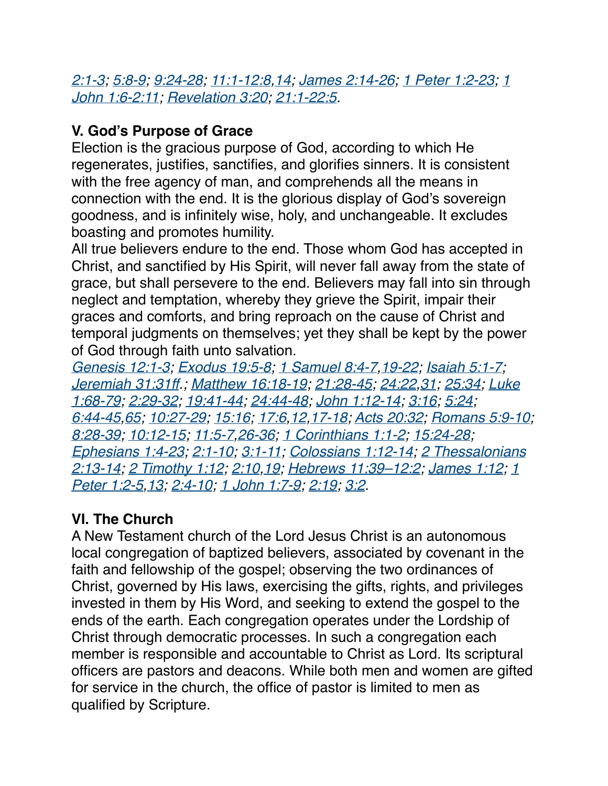*[2:1-3](https://biblia.com/bible/csb/Heb%202.1-3); [5:8-9](https://biblia.com/bible/csb/Hebrews%205.8-9); [9:24-28](https://biblia.com/bible/csb/Hebrews%209.24-28); [11:1-12:8,](https://biblia.com/bible/csb/Hebrews%2011.1-12.8)[14;](https://biblia.com/bible/csb/Hebrews%2011.14) [James 2:14-26](https://biblia.com/bible/csb/James%202.14-26); [1 Peter 1:2-23;](https://biblia.com/bible/csb/1%20Pet%201.2-23) [1](https://biblia.com/bible/csb/1%20John%201.6-2.11)  [John 1:6-2:11](https://biblia.com/bible/csb/1%20John%201.6-2.11); [Revelation 3:20](https://biblia.com/bible/csb/Rev%203.20); [21:1-22:5](https://biblia.com/bible/csb/Revelation%2021.1-22.5).*

### **V. God's Purpose of Grace**

Election is the gracious purpose of God, according to which He regenerates, justifies, sanctifies, and glorifies sinners. It is consistent with the free agency of man, and comprehends all the means in connection with the end. It is the glorious display of God's sovereign goodness, and is infinitely wise, holy, and unchangeable. It excludes boasting and promotes humility.

All true believers endure to the end. Those whom God has accepted in Christ, and sanctified by His Spirit, will never fall away from the state of grace, but shall persevere to the end. Believers may fall into sin through neglect and temptation, whereby they grieve the Spirit, impair their graces and comforts, and bring reproach on the cause of Christ and temporal judgments on themselves; yet they shall be kept by the power of God through faith unto salvation.

*[Genesis 12:1-3;](https://biblia.com/bible/csb/Gen%2012.1-3) [Exodus 19:5-8;](https://biblia.com/bible/csb/Exod%2019.5-8) [1 Samuel 8:4-7,](https://biblia.com/bible/csb/1%20Sam%208.4-7)[19-22](https://biblia.com/bible/csb/1%20Samuel%208.19-22); [Isaiah 5:1-7](https://biblia.com/bible/csb/Isa%205.1-7); [Jeremiah 31:31ff](https://biblia.com/bible/csb/Jer%2031.31ff).; [Matthew 16:18-19](https://biblia.com/bible/csb/Matt%2016.18-19); [21:28-45;](https://biblia.com/bible/csb/Matthew%2021.28-45) [24:22](https://biblia.com/bible/csb/Matthew%2024.22)[,31](https://biblia.com/bible/csb/Matthew%2024.31); [25:34;](https://biblia.com/bible/csb/Matthew%2025.34) [Luke](https://biblia.com/bible/csb/Luke%201.68-79)  [1:68-79](https://biblia.com/bible/csb/Luke%201.68-79); [2:29-32;](https://biblia.com/bible/csb/Luke%202.29-32) [19:41-44;](https://biblia.com/bible/csb/Luke%2019.41-44) [24:44-48](https://biblia.com/bible/csb/Luke%2024.44-48); [John 1:12-14](https://biblia.com/bible/csb/John%201.12-14); [3:16;](https://biblia.com/bible/csb/John%203.16) [5:24](https://biblia.com/bible/csb/John%205.24); [6:44-45](https://biblia.com/bible/csb/John%206.44-45)[,65;](https://biblia.com/bible/csb/John%206.65) [10:27-29](https://biblia.com/bible/csb/John%2010.27-29); [15:16;](https://biblia.com/bible/csb/John%2015.16) [17:6](https://biblia.com/bible/csb/John%2017.6)[,12,](https://biblia.com/bible/csb/John%2017.12)[17-18;](https://biblia.com/bible/csb/John%2017.17-18) [Acts 20:32;](https://biblia.com/bible/csb/Acts%2020.32) [Romans 5:9-10;](https://biblia.com/bible/csb/Rom%205.9-10) [8:28-39](https://biblia.com/bible/csb/Romans%208.28-39); [10:12-15](https://biblia.com/bible/csb/Romans%2010.12-15); [11:5-7](https://biblia.com/bible/csb/Romans%2011.5-7)[,26-36;](https://biblia.com/bible/csb/Romans%2011.26-36) [1 Corinthians 1:1-2;](https://biblia.com/bible/csb/1%20Cor%201.1-2) [15:24-28](https://biblia.com/bible/csb/1%20Corinthians%2015.24-28); [Ephesians 1:4-23](https://biblia.com/bible/csb/Eph%201.4-23); [2:1-10;](https://biblia.com/bible/csb/Ephesians%202.1-10) [3:1-11](https://biblia.com/bible/csb/Ephesians%203.1-11); [Colossians 1:12-14;](https://biblia.com/bible/csb/Col%201.12-14) [2 Thessalonians](https://biblia.com/bible/csb/2%20Thess%202.13-14)  [2:13-14](https://biblia.com/bible/csb/2%20Thess%202.13-14); [2 Timothy 1:12](https://biblia.com/bible/csb/2%20Tim%201.12); [2:10,](https://biblia.com/bible/csb/2%20Timothy%202.10)[19;](https://biblia.com/bible/csb/2%20Timothy%202.19) [Hebrews 11:39–12:2](https://biblia.com/bible/csb/Heb%2011.39%E2%80%9312.2); [James 1:12;](https://biblia.com/bible/csb/James%201.12) [1](https://biblia.com/bible/csb/1%20Pet%201.2-5)  [Peter 1:2-5](https://biblia.com/bible/csb/1%20Pet%201.2-5)[,13](https://biblia.com/bible/csb/1%20Peter%201.13); [2:4-10;](https://biblia.com/bible/csb/1%20Peter%202.4-10) [1 John 1:7-9;](https://biblia.com/bible/csb/1%20John%201.7-9) [2:19](https://biblia.com/bible/csb/1%20John%202.19); [3:2.](https://biblia.com/bible/csb/1%20John%203.2)*

# **VI. The Church**

A New Testament church of the Lord Jesus Christ is an autonomous local congregation of baptized believers, associated by covenant in the faith and fellowship of the gospel; observing the two ordinances of Christ, governed by His laws, exercising the gifts, rights, and privileges invested in them by His Word, and seeking to extend the gospel to the ends of the earth. Each congregation operates under the Lordship of Christ through democratic processes. In such a congregation each member is responsible and accountable to Christ as Lord. Its scriptural officers are pastors and deacons. While both men and women are gifted for service in the church, the office of pastor is limited to men as qualified by Scripture.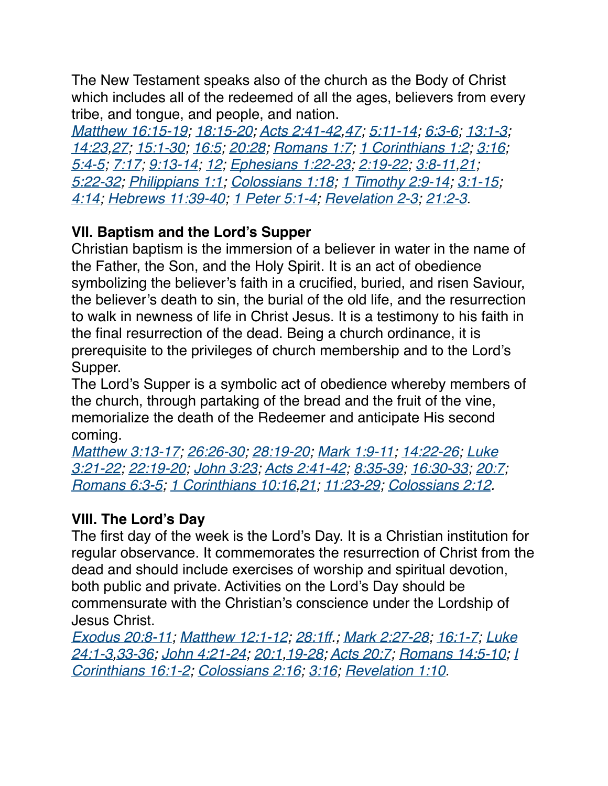The New Testament speaks also of the church as the Body of Christ which includes all of the redeemed of all the ages, believers from every tribe, and tongue, and people, and nation.

*[Matthew 16:15-19;](https://biblia.com/bible/csb/Matt%2016.15-19) [18:15-20](https://biblia.com/bible/csb/Matthew%2018.15-20); [Acts 2:41-42](https://biblia.com/bible/csb/Acts%202.41-42)[,47;](https://biblia.com/bible/csb/Acts%202.47) [5:11-14;](https://biblia.com/bible/csb/Acts%205.11-14) [6:3-6](https://biblia.com/bible/csb/Acts%206.3-6); [13:1-3;](https://biblia.com/bible/csb/Acts%2013.1-3) [14:23](https://biblia.com/bible/csb/Acts%2014.23)[,27;](https://biblia.com/bible/csb/Acts%2014.27) [15:1-30](https://biblia.com/bible/csb/Acts%2015.1-30); [16:5;](https://biblia.com/bible/csb/Acts%2016.5) [20:28](https://biblia.com/bible/csb/Acts%2020.28); [Romans 1:7;](https://biblia.com/bible/csb/Rom%201.7) [1 Corinthians 1:2](https://biblia.com/bible/csb/1%20Cor%201.2); [3:16;](https://biblia.com/bible/csb/1%20Corinthians%203.16) [5:4-5](https://biblia.com/bible/csb/1%20Corinthians%205.4-5); [7:17;](https://biblia.com/bible/csb/1%20Corinthians%207.17) [9:13-14](https://biblia.com/bible/csb/1%20Corinthians%209.13-14); [12](https://biblia.com/bible/csb/1%20Corinthians%209.12); [Ephesians 1:22-23](https://biblia.com/bible/csb/Eph%201.22-23); [2:19-22;](https://biblia.com/bible/csb/Ephesians%202.19-22) [3:8-11,](https://biblia.com/bible/csb/Ephesians%203.8-11)[21](https://biblia.com/bible/csb/Ephesians%203.21); [5:22-32](https://biblia.com/bible/csb/Ephesians%205.22-32); [Philippians 1:1](https://biblia.com/bible/csb/Phil%201.1); [Colossians 1:18](https://biblia.com/bible/csb/Col%201.18); [1 Timothy 2:9-14;](https://biblia.com/bible/csb/1%20Tim%202.9-14) [3:1-15](https://biblia.com/bible/csb/1%20Timothy%203.1-15); [4:14](https://biblia.com/bible/csb/1%20Timothy%204.14); [Hebrews 11:39-40](https://biblia.com/bible/csb/Heb%2011.39-40); [1 Peter 5:1-4;](https://biblia.com/bible/csb/1%20Pet%205.1-4) [Revelation 2-3;](https://biblia.com/bible/csb/Rev%202-3) [21:2-3](https://biblia.com/bible/csb/Revelation%2021.2-3).*

## **VII. Baptism and the Lord's Supper**

Christian baptism is the immersion of a believer in water in the name of the Father, the Son, and the Holy Spirit. It is an act of obedience symbolizing the believer's faith in a crucified, buried, and risen Saviour, the believer's death to sin, the burial of the old life, and the resurrection to walk in newness of life in Christ Jesus. It is a testimony to his faith in the final resurrection of the dead. Being a church ordinance, it is prerequisite to the privileges of church membership and to the Lord's Supper.

The Lord's Supper is a symbolic act of obedience whereby members of the church, through partaking of the bread and the fruit of the vine, memorialize the death of the Redeemer and anticipate His second coming.

*[Matthew 3:13-17](https://biblia.com/bible/csb/Matt%203.13-17); [26:26-30](https://biblia.com/bible/csb/Matthew%2026.26-30); [28:19-20;](https://biblia.com/bible/csb/Matthew%2028.19-20) [Mark 1:9-11](https://biblia.com/bible/csb/Mark%201.9-11); [14:22-26](https://biblia.com/bible/csb/Mark%2014.22-26); [Luke](https://biblia.com/bible/csb/Luke%203.21-22)  [3:21-22](https://biblia.com/bible/csb/Luke%203.21-22); [22:19-20](https://biblia.com/bible/csb/Luke%2022.19-20); [John 3:23](https://biblia.com/bible/csb/John%203.23); [Acts 2:41-42](https://biblia.com/bible/csb/Acts%202.41-42); [8:35-39;](https://biblia.com/bible/csb/Acts%208.35-39) [16:30-33](https://biblia.com/bible/csb/Acts%2016.30-33); [20:7;](https://biblia.com/bible/csb/Acts%2020.7) [Romans 6:3-5;](https://biblia.com/bible/csb/Rom%206.3-5) [1 Corinthians 10:16,](https://biblia.com/bible/csb/1%20Cor%2010.16)[21](https://biblia.com/bible/csb/1%20Corinthians%2010.21); [11:23-29;](https://biblia.com/bible/csb/1%20Corinthians%2011.23-29) [Colossians 2:12](https://biblia.com/bible/csb/Col%202.12).*

# **VIII. The Lord's Day**

The first day of the week is the Lord's Day. It is a Christian institution for regular observance. It commemorates the resurrection of Christ from the dead and should include exercises of worship and spiritual devotion, both public and private. Activities on the Lord's Day should be commensurate with the Christian's conscience under the Lordship of Jesus Christ.

*[Exodus 20:8-11;](https://biblia.com/bible/csb/Exod%2020.8-11) [Matthew 12:1-12;](https://biblia.com/bible/csb/Matt%2012.1-12) [28:1ff.](https://biblia.com/bible/csb/Matthew%2028.1ff); [Mark 2:27-28;](https://biblia.com/bible/csb/Mark%202.27-28) [16:1-7](https://biblia.com/bible/csb/Mark%2016.1-7); [Luke](https://biblia.com/bible/csb/Luke%2024.1-3)  [24:1-3](https://biblia.com/bible/csb/Luke%2024.1-3)[,33-36;](https://biblia.com/bible/csb/Luke%2024.33-36) [John 4:21-24;](https://biblia.com/bible/csb/John%204.21-24) [20:1](https://biblia.com/bible/csb/John%2020.1)[,19-28;](https://biblia.com/bible/csb/John%2020.19-28) [Acts 20:7;](https://biblia.com/bible/csb/Acts%2020.7) [Romans 14:5-10](https://biblia.com/bible/csb/Rom%2014.5-10); [I](https://biblia.com/bible/csb/1%20Cor%2016.1-2)  [Corinthians 16:1-2](https://biblia.com/bible/csb/1%20Cor%2016.1-2); [Colossians 2:16;](https://biblia.com/bible/csb/Col%202.16) [3:16](https://biblia.com/bible/csb/Colossians%203.16); [Revelation 1:10.](https://biblia.com/bible/csb/Rev%201.10)*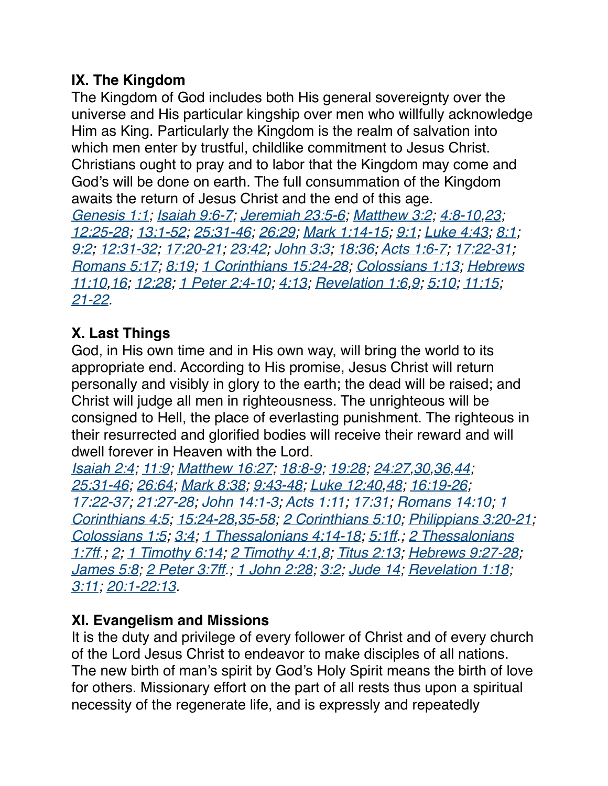# **IX. The Kingdom**

The Kingdom of God includes both His general sovereignty over the universe and His particular kingship over men who willfully acknowledge Him as King. Particularly the Kingdom is the realm of salvation into which men enter by trustful, childlike commitment to Jesus Christ. Christians ought to pray and to labor that the Kingdom may come and God's will be done on earth. The full consummation of the Kingdom awaits the return of Jesus Christ and the end of this age. *[Genesis 1:1;](https://biblia.com/bible/csb/Gen%201.1) [Isaiah 9:6-7;](https://biblia.com/bible/csb/Isa%209.6-7) [Jeremiah 23:5-6](https://biblia.com/bible/csb/Jer%2023.5-6); [Matthew 3:2;](https://biblia.com/bible/csb/Matt%203.2) [4:8-10](https://biblia.com/bible/csb/Matthew%204.8-10)[,23](https://biblia.com/bible/csb/Matthew%204.23);* 

*[12:25-28;](https://biblia.com/bible/csb/Matthew%2012.25-28) [13:1-52](https://biblia.com/bible/csb/Matthew%2013.1-52); [25:31-46;](https://biblia.com/bible/csb/Matthew%2025.31-46) [26:29](https://biblia.com/bible/csb/Matthew%2026.29); [Mark 1:14-15](https://biblia.com/bible/csb/Mark%201.14-15); [9:1](https://biblia.com/bible/csb/Mark%209.1); [Luke 4:43;](https://biblia.com/bible/csb/Luke%204.43) [8:1;](https://biblia.com/bible/csb/Luke%208.1) [9:2](https://biblia.com/bible/csb/Luke%209.2); [12:31-32;](https://biblia.com/bible/csb/Luke%2012.31-32) [17:20-21](https://biblia.com/bible/csb/Luke%2017.20-21); [23:42](https://biblia.com/bible/csb/Luke%2023.42); [John 3:3;](https://biblia.com/bible/csb/John%203.3) [18:36;](https://biblia.com/bible/csb/John%2018.36) [Acts 1:6-7](https://biblia.com/bible/csb/Acts%201.6-7); [17:22-31](https://biblia.com/bible/csb/Acts%2017.22-31); [Romans 5:17;](https://biblia.com/bible/csb/Rom%205.17) [8:19](https://biblia.com/bible/csb/Romans%208.19); [1 Corinthians 15:24-28;](https://biblia.com/bible/csb/1%20Cor%2015.24-28) [Colossians 1:13](https://biblia.com/bible/csb/Col%201.13); [Hebrews](https://biblia.com/bible/csb/Heb%2011.10)  [11:10](https://biblia.com/bible/csb/Heb%2011.10)[,16;](https://biblia.com/bible/csb/Hebrews%2011.16) [12:28](https://biblia.com/bible/csb/Hebrews%2012.28); [1 Peter 2:4-10;](https://biblia.com/bible/csb/1%20Pet%202.4-10) [4:13](https://biblia.com/bible/csb/1%20Peter%204.13); [Revelation 1:6](https://biblia.com/bible/csb/Rev%201.6)[,9](https://biblia.com/bible/csb/Revelation%201.9); [5:10;](https://biblia.com/bible/csb/Revelation%205.10) [11:15](https://biblia.com/bible/csb/Revelation%2011.15); [21-22](https://biblia.com/bible/csb/Revelation%2011.21-22).*

# **X. Last Things**

God, in His own time and in His own way, will bring the world to its appropriate end. According to His promise, Jesus Christ will return personally and visibly in glory to the earth; the dead will be raised; and Christ will judge all men in righteousness. The unrighteous will be consigned to Hell, the place of everlasting punishment. The righteous in their resurrected and glorified bodies will receive their reward and will dwell forever in Heaven with the Lord.

*[Isaiah 2:4](https://biblia.com/bible/csb/Isa%202.4); [11:9;](https://biblia.com/bible/csb/Isaiah%2011.9) [Matthew 16:27](https://biblia.com/bible/csb/Matt%2016.27); [18:8-9;](https://biblia.com/bible/csb/Matthew%2018.8-9) [19:28](https://biblia.com/bible/csb/Matthew%2019.28); [24:27,](https://biblia.com/bible/csb/Matthew%2024.27)[30,](https://biblia.com/bible/csb/Matthew%2024.30)[36](https://biblia.com/bible/csb/Matthew%2024.36)[,44](https://biblia.com/bible/csb/Matthew%2024.44); [25:31-46;](https://biblia.com/bible/csb/Matthew%2025.31-46) [26:64](https://biblia.com/bible/csb/Matthew%2026.64); [Mark 8:38;](https://biblia.com/bible/csb/Mark%208.38) [9:43-48](https://biblia.com/bible/csb/Mark%209.43-48); [Luke 12:40,](https://biblia.com/bible/csb/Luke%2012.40)[48;](https://biblia.com/bible/csb/Luke%2012.48) [16:19-26](https://biblia.com/bible/csb/Luke%2016.19-26); [17:22-37;](https://biblia.com/bible/csb/Luke%2017.22-37) [21:27-28](https://biblia.com/bible/csb/Luke%2021.27-28); [John 14:1-3](https://biblia.com/bible/csb/John%2014.1-3); [Acts 1:11](https://biblia.com/bible/csb/Acts%201.11); [17:31;](https://biblia.com/bible/csb/Acts%2017.31) [Romans 14:10](https://biblia.com/bible/csb/Rom%2014.10); [1](https://biblia.com/bible/csb/1%20Cor%204.5)  [Corinthians 4:5;](https://biblia.com/bible/csb/1%20Cor%204.5) [15:24-28,](https://biblia.com/bible/csb/1%20Corinthians%2015.24-28)[35-58;](https://biblia.com/bible/csb/1%20Corinthians%2015.35-58) [2 Corinthians 5:10](https://biblia.com/bible/csb/2%20Cor%205.10); [Philippians 3:20-21](https://biblia.com/bible/csb/Phil%203.20-21); [Colossians 1:5;](https://biblia.com/bible/csb/Col%201.5) [3:4;](https://biblia.com/bible/csb/Colossians%203.4) [1 Thessalonians 4:14-18](https://biblia.com/bible/csb/1%20Thess%204.14-18); [5:1ff](https://biblia.com/bible/csb/1%20Thessalonians%205.1ff).; [2 Thessalonians](https://biblia.com/bible/csb/2%20Thess%201.7ff)  [1:7ff](https://biblia.com/bible/csb/2%20Thess%201.7ff).; [2](https://biblia.com/bible/csb/2%20Thessalonians%201.2); [1 Timothy 6:14;](https://biblia.com/bible/csb/1%20Tim%206.14) [2 Timothy 4:1,](https://biblia.com/bible/csb/2%20Tim%204.1)[8;](https://biblia.com/bible/csb/2%20Timothy%204.8) [Titus 2:13;](https://biblia.com/bible/csb/Titus%202.13) [Hebrews 9:27-28](https://biblia.com/bible/csb/Heb%209.27-28); [James 5:8](https://biblia.com/bible/csb/James%205.8); [2 Peter 3:7ff](https://biblia.com/bible/csb/2%20Pet%203.7ff).; [1 John 2:28;](https://biblia.com/bible/csb/1%20John%202.28) [3:2](https://biblia.com/bible/csb/1%20John%203.2); [Jude 14;](https://biblia.com/bible/csb/Jude%2014) [Revelation 1:18](https://biblia.com/bible/csb/Rev%201.18); [3:11](https://biblia.com/bible/csb/Revelation%203.11); [20:1-22:13](https://biblia.com/bible/csb/Revelation%2020.1-22.13).*

# **XI. Evangelism and Missions**

It is the duty and privilege of every follower of Christ and of every church of the Lord Jesus Christ to endeavor to make disciples of all nations. The new birth of man's spirit by God's Holy Spirit means the birth of love for others. Missionary effort on the part of all rests thus upon a spiritual necessity of the regenerate life, and is expressly and repeatedly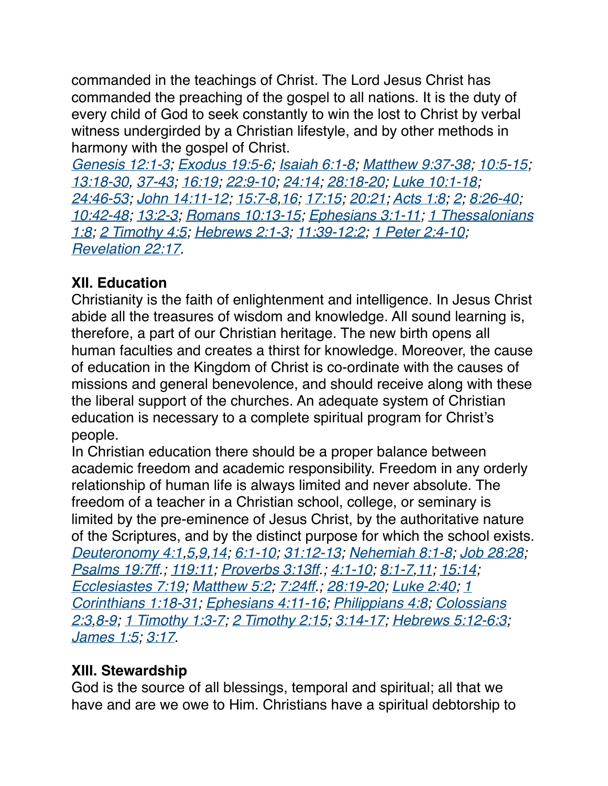commanded in the teachings of Christ. The Lord Jesus Christ has commanded the preaching of the gospel to all nations. It is the duty of every child of God to seek constantly to win the lost to Christ by verbal witness undergirded by a Christian lifestyle, and by other methods in harmony with the gospel of Christ.

*[Genesis 12:1-3;](https://biblia.com/bible/csb/Gen%2012.1-3) [Exodus 19:5-6;](https://biblia.com/bible/csb/Exod%2019.5-6) [Isaiah 6:1-8](https://biblia.com/bible/csb/Isa%206.1-8); [Matthew 9:37-38;](https://biblia.com/bible/csb/Matt%209.37-38) [10:5-15](https://biblia.com/bible/csb/Matthew%2010.5-15); [13:18-30,](https://biblia.com/bible/csb/Matthew%2013.18-30) [37-43;](https://biblia.com/bible/csb/Matthew%2013.37-43) [16:19](https://biblia.com/bible/csb/Matthew%2016.19); [22:9-10;](https://biblia.com/bible/csb/Matthew%2022.9-10) [24:14](https://biblia.com/bible/csb/Matthew%2024.14); [28:18-20](https://biblia.com/bible/csb/Matthew%2028.18-20); [Luke 10:1-18](https://biblia.com/bible/csb/Luke%2010.1-18); [24:46-53;](https://biblia.com/bible/csb/Luke%2024.46-53) [John 14:11-12;](https://biblia.com/bible/csb/John%2014.11-12) [15:7-8](https://biblia.com/bible/csb/John%2015.7-8)[,16](https://biblia.com/bible/csb/John%2015.16); [17:15;](https://biblia.com/bible/csb/John%2017.15) [20:21](https://biblia.com/bible/csb/John%2020.21); [Acts 1:8](https://biblia.com/bible/csb/Acts%201.8); [2;](https://biblia.com/bible/csb/Acts%201.2) [8:26-40](https://biblia.com/bible/csb/Acts%208.26-40); [10:42-48;](https://biblia.com/bible/csb/Acts%2010.42-48) [13:2-3;](https://biblia.com/bible/csb/Acts%2013.2-3) [Romans 10:13-15;](https://biblia.com/bible/csb/Rom%2010.13-15) [Ephesians 3:1-11](https://biblia.com/bible/csb/Eph%203.1-11); [1 Thessalonians](https://biblia.com/bible/csb/1%20Thess%201.8)  [1:8](https://biblia.com/bible/csb/1%20Thess%201.8); [2 Timothy 4:5;](https://biblia.com/bible/csb/2%20Tim%204.5) [Hebrews 2:1-3;](https://biblia.com/bible/csb/Heb%202.1-3) [11:39-12:2](https://biblia.com/bible/csb/Hebrews%2011.39-12.2); [1 Peter 2:4-10;](https://biblia.com/bible/csb/1%20Pet%202.4-10) [Revelation 22:17](https://biblia.com/bible/csb/Rev%2022.17).*

# **XII. Education**

Christianity is the faith of enlightenment and intelligence. In Jesus Christ abide all the treasures of wisdom and knowledge. All sound learning is, therefore, a part of our Christian heritage. The new birth opens all human faculties and creates a thirst for knowledge. Moreover, the cause of education in the Kingdom of Christ is co-ordinate with the causes of missions and general benevolence, and should receive along with these the liberal support of the churches. An adequate system of Christian education is necessary to a complete spiritual program for Christ's people.

In Christian education there should be a proper balance between academic freedom and academic responsibility. Freedom in any orderly relationship of human life is always limited and never absolute. The freedom of a teacher in a Christian school, college, or seminary is limited by the pre-eminence of Jesus Christ, by the authoritative nature of the Scriptures, and by the distinct purpose for which the school exists. *[Deuteronomy 4:1,](https://biblia.com/bible/csb/Deut%204.1)[5,](https://biblia.com/bible/csb/Deuteronomy%204.5)[9](https://biblia.com/bible/csb/Deuteronomy%204.9)[,14](https://biblia.com/bible/csb/Deuteronomy%204.14); [6:1-10;](https://biblia.com/bible/csb/Deuteronomy%206.1-10) [31:12-13](https://biblia.com/bible/csb/Deuteronomy%2031.12-13); [Nehemiah 8:1-8](https://biblia.com/bible/csb/Neh%208.1-8); [Job 28:28](https://biblia.com/bible/csb/Job%2028.28); [Psalms 19:7ff.](https://biblia.com/bible/csb/Ps%2019.7ff); [119:11;](https://biblia.com/bible/csb/Psalms%20119.11) [Proverbs 3:13ff](https://biblia.com/bible/csb/Prov%203.13ff).; [4:1-10;](https://biblia.com/bible/csb/Proverbs%204.1-10) [8:1-7,](https://biblia.com/bible/csb/Proverbs%208.1-7)[11](https://biblia.com/bible/csb/Proverbs%208.11); [15:14;](https://biblia.com/bible/csb/Proverbs%2015.14) [Ecclesiastes 7:19](https://biblia.com/bible/csb/Eccles%207.19); [Matthew 5:2;](https://biblia.com/bible/csb/Matt%205.2) [7:24ff](https://biblia.com/bible/csb/Matthew%207.24ff).; [28:19-20;](https://biblia.com/bible/csb/Matthew%2028.19-20) [Luke 2:40;](https://biblia.com/bible/csb/Luke%202.40) [1](https://biblia.com/bible/csb/1%20Cor%201.18-31)  [Corinthians 1:18-31](https://biblia.com/bible/csb/1%20Cor%201.18-31); [Ephesians 4:11-16;](https://biblia.com/bible/csb/Eph%204.11-16) [Philippians 4:8](https://biblia.com/bible/csb/Phil%204.8); [Colossians](https://biblia.com/bible/csb/Col%202.3)  [2:3](https://biblia.com/bible/csb/Col%202.3)[,8-9](https://biblia.com/bible/csb/Colossians%202.8-9); [1 Timothy 1:3-7;](https://biblia.com/bible/csb/1%20Tim%201.3-7) [2 Timothy 2:15;](https://biblia.com/bible/csb/2%20Tim%202.15) [3:14-17](https://biblia.com/bible/csb/2%20Timothy%203.14-17); [Hebrews 5:12-6:3](https://biblia.com/bible/csb/Heb%205.12-6.3); [James 1:5](https://biblia.com/bible/csb/James%201.5); [3:17.](https://biblia.com/bible/csb/James%203.17)*

## **XIII. Stewardship**

God is the source of all blessings, temporal and spiritual; all that we have and are we owe to Him. Christians have a spiritual debtorship to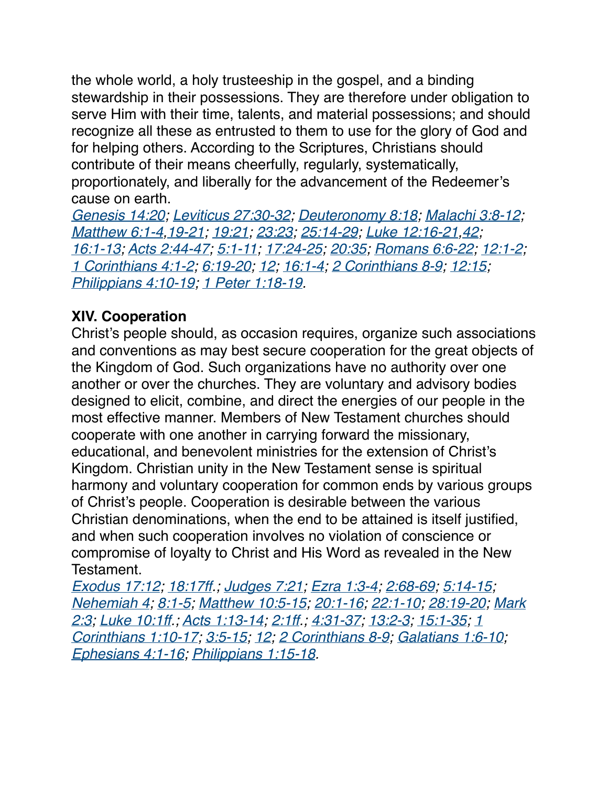the whole world, a holy trusteeship in the gospel, and a binding stewardship in their possessions. They are therefore under obligation to serve Him with their time, talents, and material possessions; and should recognize all these as entrusted to them to use for the glory of God and for helping others. According to the Scriptures, Christians should contribute of their means cheerfully, regularly, systematically, proportionately, and liberally for the advancement of the Redeemer's cause on earth.

*[Genesis 14:20;](https://biblia.com/bible/csb/Gen%2014.20) [Leviticus 27:30-32](https://biblia.com/bible/csb/Lev%2027.30-32); [Deuteronomy 8:18](https://biblia.com/bible/csb/Deut%208.18); [Malachi 3:8-12;](https://biblia.com/bible/csb/Mal%203.8-12) [Matthew 6:1-4](https://biblia.com/bible/csb/Matt%206.1-4)[,19-21;](https://biblia.com/bible/csb/Matthew%206.19-21) [19:21](https://biblia.com/bible/csb/Matthew%2019.21); [23:23;](https://biblia.com/bible/csb/Matthew%2023.23) [25:14-29](https://biblia.com/bible/csb/Matthew%2025.14-29); [Luke 12:16-21,](https://biblia.com/bible/csb/Luke%2012.16-21)[42;](https://biblia.com/bible/csb/Luke%2012.42) [16:1-13](https://biblia.com/bible/csb/Luke%2016.1-13); [Acts 2:44-47](https://biblia.com/bible/csb/Acts%202.44-47); [5:1-11;](https://biblia.com/bible/csb/Acts%205.1-11) [17:24-25](https://biblia.com/bible/csb/Acts%2017.24-25); [20:35;](https://biblia.com/bible/csb/Acts%2020.35) [Romans 6:6-22;](https://biblia.com/bible/csb/Rom%206.6-22) [12:1-2](https://biblia.com/bible/csb/Romans%2012.1-2); [1 Corinthians 4:1-2](https://biblia.com/bible/csb/1%20Cor%204.1-2); [6:19-20;](https://biblia.com/bible/csb/1%20Corinthians%206.19-20) [12;](https://biblia.com/bible/csb/1%20Corinthians%206.12) [16:1-4](https://biblia.com/bible/csb/1%20Corinthians%2016.1-4); [2 Corinthians 8-9](https://biblia.com/bible/csb/2%20Cor%208-9); [12:15;](https://biblia.com/bible/csb/2%20Corinthians%2012.15) [Philippians 4:10-19;](https://biblia.com/bible/csb/Phil%204.10-19) [1 Peter 1:18-19](https://biblia.com/bible/csb/1%20Pet%201.18-19).* 

## **XIV. Cooperation**

Christ's people should, as occasion requires, organize such associations and conventions as may best secure cooperation for the great objects of the Kingdom of God. Such organizations have no authority over one another or over the churches. They are voluntary and advisory bodies designed to elicit, combine, and direct the energies of our people in the most effective manner. Members of New Testament churches should cooperate with one another in carrying forward the missionary, educational, and benevolent ministries for the extension of Christ's Kingdom. Christian unity in the New Testament sense is spiritual harmony and voluntary cooperation for common ends by various groups of Christ's people. Cooperation is desirable between the various Christian denominations, when the end to be attained is itself justified, and when such cooperation involves no violation of conscience or compromise of loyalty to Christ and His Word as revealed in the New Testament.

*[Exodus 17:12](https://biblia.com/bible/csb/Exod%2017.12); [18:17ff](https://biblia.com/bible/csb/Exodus%2018.17ff).; [Judges 7:21](https://biblia.com/bible/csb/Judg%207.21); [Ezra 1:3-4](https://biblia.com/bible/csb/Ezra%201.3-4); [2:68-69;](https://biblia.com/bible/csb/Ezra%202.68-69) [5:14-15](https://biblia.com/bible/csb/Ezra%205.14-15); [Nehemiah 4;](https://biblia.com/bible/csb/Neh%204) [8:1-5;](https://biblia.com/bible/csb/Nehemiah%208.1-5) [Matthew 10:5-15](https://biblia.com/bible/csb/Matt%2010.5-15); [20:1-16;](https://biblia.com/bible/csb/Matthew%2020.1-16) [22:1-10](https://biblia.com/bible/csb/Matthew%2022.1-10); [28:19-20](https://biblia.com/bible/csb/Matthew%2028.19-20); [Mark](https://biblia.com/bible/csb/Mark%202.3)  [2:3](https://biblia.com/bible/csb/Mark%202.3); [Luke 10:1ff](https://biblia.com/bible/csb/Luke%2010.1ff).; [Acts 1:13-14](https://biblia.com/bible/csb/Acts%201.13-14); [2:1ff.](https://biblia.com/bible/csb/Acts%202.1ff); [4:31-37](https://biblia.com/bible/csb/Acts%204.31-37); [13:2-3](https://biblia.com/bible/csb/Acts%2013.2-3); [15:1-35;](https://biblia.com/bible/csb/Acts%2015.1-35) [1](https://biblia.com/bible/csb/1%20Cor%201.10-17)  [Corinthians 1:10-17](https://biblia.com/bible/csb/1%20Cor%201.10-17); [3:5-15;](https://biblia.com/bible/csb/1%20Corinthians%203.5-15) [12;](https://biblia.com/bible/csb/1%20Corinthians%203.12) [2 Corinthians 8-9;](https://biblia.com/bible/csb/2%20Cor%208-9) [Galatians 1:6-10;](https://biblia.com/bible/csb/Gal%201.6-10) [Ephesians 4:1-16](https://biblia.com/bible/csb/Eph%204.1-16); [Philippians 1:15-18](https://biblia.com/bible/csb/Phil%201.15-18).*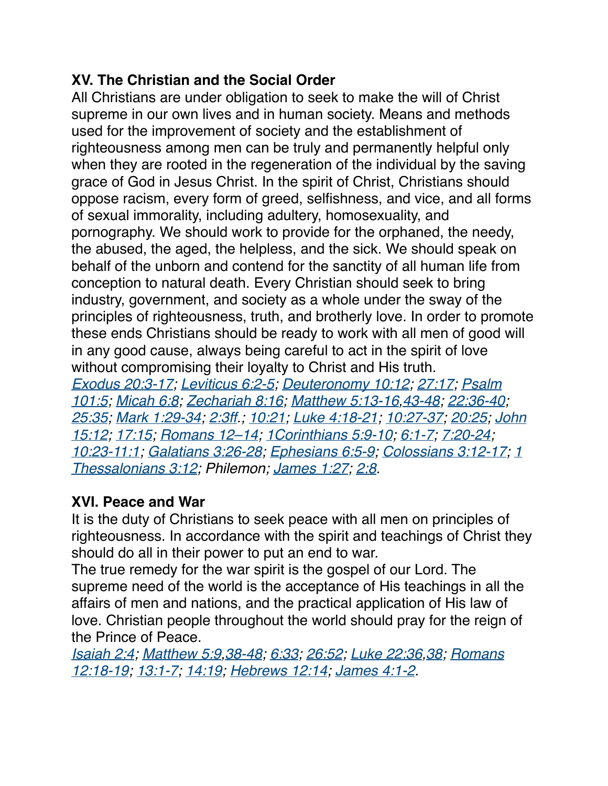# **XV. The Christian and the Social Order**

All Christians are under obligation to seek to make the will of Christ supreme in our own lives and in human society. Means and methods used for the improvement of society and the establishment of righteousness among men can be truly and permanently helpful only when they are rooted in the regeneration of the individual by the saving grace of God in Jesus Christ. In the spirit of Christ, Christians should oppose racism, every form of greed, selfishness, and vice, and all forms of sexual immorality, including adultery, homosexuality, and pornography. We should work to provide for the orphaned, the needy, the abused, the aged, the helpless, and the sick. We should speak on behalf of the unborn and contend for the sanctity of all human life from conception to natural death. Every Christian should seek to bring industry, government, and society as a whole under the sway of the principles of righteousness, truth, and brotherly love. In order to promote these ends Christians should be ready to work with all men of good will in any good cause, always being careful to act in the spirit of love without compromising their loyalty to Christ and His truth. *[Exodus 20:3-17](https://biblia.com/bible/csb/Exod%2020.3-17); [Leviticus 6:2-5](https://biblia.com/bible/csb/Lev%206.2-5); [Deuteronomy 10:12](https://biblia.com/bible/csb/Deut%2010.12); [27:17;](https://biblia.com/bible/csb/Deuteronomy%2027.17) [Psalm](https://biblia.com/bible/csb/Ps%20101.5)* 

*[101:5](https://biblia.com/bible/csb/Ps%20101.5); [Micah 6:8;](https://biblia.com/bible/csb/Micah%206.8) [Zechariah 8:16;](https://biblia.com/bible/csb/Zech%208.16) [Matthew 5:13-16,](https://biblia.com/bible/csb/Matt%205.13-16)[43-48;](https://biblia.com/bible/csb/Matthew%205.43-48) [22:36-40](https://biblia.com/bible/csb/Matthew%2022.36-40); [25:35](https://biblia.com/bible/csb/Matthew%2025.35); [Mark 1:29-34](https://biblia.com/bible/csb/Mark%201.29-34); [2:3ff.](https://biblia.com/bible/csb/Mark%202.3ff); [10:21](https://biblia.com/bible/csb/Mark%2010.21); [Luke 4:18-21](https://biblia.com/bible/csb/Luke%204.18-21); [10:27-37;](https://biblia.com/bible/csb/Luke%2010.27-37) [20:25](https://biblia.com/bible/csb/Luke%2020.25); [John](https://biblia.com/bible/csb/John%2015.12)  [15:12](https://biblia.com/bible/csb/John%2015.12); [17:15](https://biblia.com/bible/csb/John%2017.15); [Romans 12–14;](https://biblia.com/bible/csb/Rom%2012%E2%80%9314) [1Corinthians 5:9-10](https://biblia.com/bible/csb/1%20Cor%205.9-10); [6:1-7](https://biblia.com/bible/csb/1Corinthians%206.1-7); [7:20-24;](https://biblia.com/bible/csb/1Corinthians%207.20-24) [10:23-11:1;](https://biblia.com/bible/csb/1Corinthians%2010.23-11.1) [Galatians 3:26-28;](https://biblia.com/bible/csb/Gal%203.26-28) [Ephesians 6:5-9](https://biblia.com/bible/csb/Eph%206.5-9); [Colossians 3:12-17;](https://biblia.com/bible/csb/Col%203.12-17) [1](https://biblia.com/bible/csb/1%20Thess%203.12)  [Thessalonians 3:12](https://biblia.com/bible/csb/1%20Thess%203.12); Philemon; [James 1:27;](https://biblia.com/bible/csb/James%201.27) [2:8.](https://biblia.com/bible/csb/James%202.8)*

# **XVI. Peace and War**

It is the duty of Christians to seek peace with all men on principles of righteousness. In accordance with the spirit and teachings of Christ they should do all in their power to put an end to war.

The true remedy for the war spirit is the gospel of our Lord. The supreme need of the world is the acceptance of His teachings in all the affairs of men and nations, and the practical application of His law of love. Christian people throughout the world should pray for the reign of the Prince of Peace.

*[Isaiah 2:4](https://biblia.com/bible/csb/Isa%202.4); [Matthew 5:9,](https://biblia.com/bible/csb/Matt%205.9)[38-48;](https://biblia.com/bible/csb/Matthew%205.38-48) [6:33](https://biblia.com/bible/csb/Matthew%206.33); [26:52;](https://biblia.com/bible/csb/Matthew%2026.52) [Luke 22:36](https://biblia.com/bible/csb/Luke%2022.36)[,38](https://biblia.com/bible/csb/Luke%2022.38); [Romans](https://biblia.com/bible/csb/Rom%2012.18-19)  [12:18-19;](https://biblia.com/bible/csb/Rom%2012.18-19) [13:1-7;](https://biblia.com/bible/csb/Romans%2013.1-7) [14:19](https://biblia.com/bible/csb/Romans%2014.19); [Hebrews 12:14;](https://biblia.com/bible/csb/Heb%2012.14) [James 4:1-2.](https://biblia.com/bible/csb/James%204.1-2)*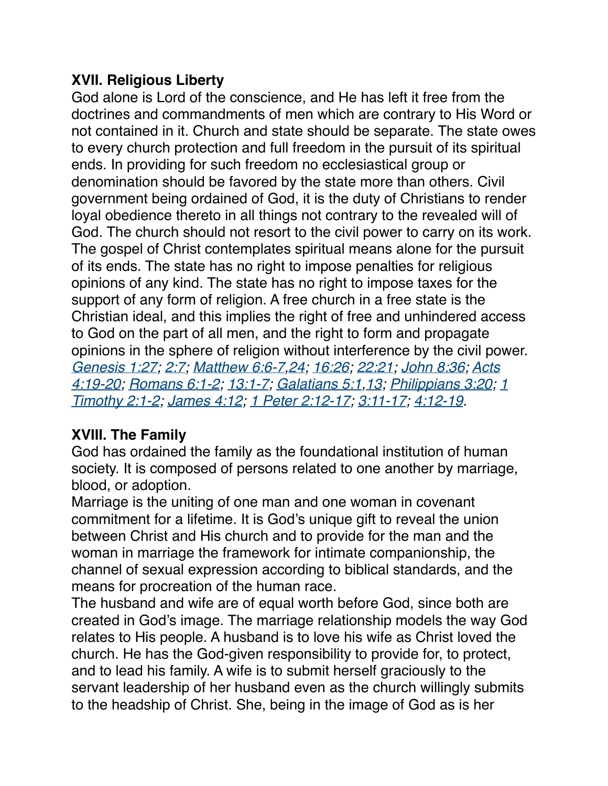## **XVII. Religious Liberty**

God alone is Lord of the conscience, and He has left it free from the doctrines and commandments of men which are contrary to His Word or not contained in it. Church and state should be separate. The state owes to every church protection and full freedom in the pursuit of its spiritual ends. In providing for such freedom no ecclesiastical group or denomination should be favored by the state more than others. Civil government being ordained of God, it is the duty of Christians to render loyal obedience thereto in all things not contrary to the revealed will of God. The church should not resort to the civil power to carry on its work. The gospel of Christ contemplates spiritual means alone for the pursuit of its ends. The state has no right to impose penalties for religious opinions of any kind. The state has no right to impose taxes for the support of any form of religion. A free church in a free state is the Christian ideal, and this implies the right of free and unhindered access to God on the part of all men, and the right to form and propagate opinions in the sphere of religion without interference by the civil power. *[Genesis 1:27;](https://biblia.com/bible/csb/Gen%201.27) [2:7](https://biblia.com/bible/csb/Genesis%202.7); [Matthew 6:6-7,](https://biblia.com/bible/csb/Matt%206.6-7)[24;](https://biblia.com/bible/csb/Matthew%206.24) [16:26](https://biblia.com/bible/csb/Matthew%2016.26); [22:21;](https://biblia.com/bible/csb/Matthew%2022.21) [John 8:36](https://biblia.com/bible/csb/John%208.36); [Acts](https://biblia.com/bible/csb/Acts%204.19-20)  [4:19-20](https://biblia.com/bible/csb/Acts%204.19-20); [Romans 6:1-2](https://biblia.com/bible/csb/Rom%206.1-2); [13:1-7](https://biblia.com/bible/csb/Romans%2013.1-7); [Galatians 5:1](https://biblia.com/bible/csb/Gal%205.1)[,13;](https://biblia.com/bible/csb/Galatians%205.13) [Philippians 3:20;](https://biblia.com/bible/csb/Phil%203.20) [1](https://biblia.com/bible/csb/1%20Tim%202.1-2)  [Timothy 2:1-2;](https://biblia.com/bible/csb/1%20Tim%202.1-2) [James 4:12;](https://biblia.com/bible/csb/James%204.12) [1 Peter 2:12-17](https://biblia.com/bible/csb/1%20Pet%202.12-17); [3:11-17;](https://biblia.com/bible/csb/1%20Peter%203.11-17) [4:12-19](https://biblia.com/bible/csb/1%20Peter%204.12-19).*

## **XVIII. The Family**

God has ordained the family as the foundational institution of human society. It is composed of persons related to one another by marriage, blood, or adoption.

Marriage is the uniting of one man and one woman in covenant commitment for a lifetime. It is God's unique gift to reveal the union between Christ and His church and to provide for the man and the woman in marriage the framework for intimate companionship, the channel of sexual expression according to biblical standards, and the means for procreation of the human race.

The husband and wife are of equal worth before God, since both are created in God's image. The marriage relationship models the way God relates to His people. A husband is to love his wife as Christ loved the church. He has the God-given responsibility to provide for, to protect, and to lead his family. A wife is to submit herself graciously to the servant leadership of her husband even as the church willingly submits to the headship of Christ. She, being in the image of God as is her